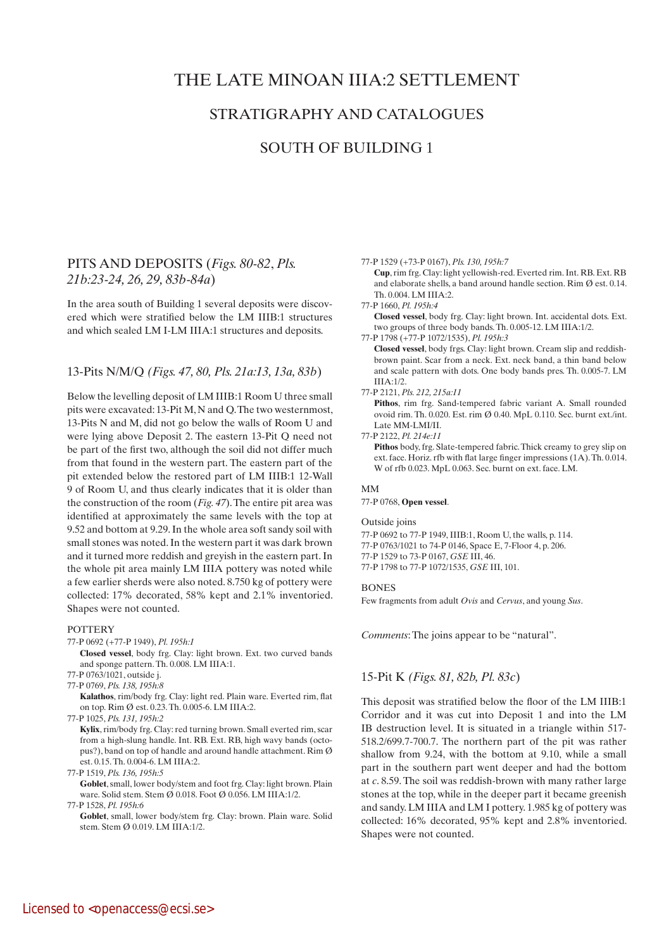# THE LATE MINOAN IIIA:2 SETTLEMENT

# STRATIGRAPHY AND CATALOGUES

# SOUTH OF BUILDING 1

# PITS AND DEPOSITS (*Figs. 80-82*, *Pls. 21b:23-24, 26, 29, 83b-84a*)

In the area south of Building 1 several deposits were discovered which were stratified below the LM IIIB:1 structures and which sealed LM I-LM IIIA:1 structures and deposits.

# 13-Pits N/M/Q *(Figs. 47, 80, Pls. 21a:13, 13a, 83b*)

Below the levelling deposit of LM IIIB:1 Room U three small pits were excavated: 13-Pit M, N and Q. The two westernmost, 13-Pits N and M, did not go below the walls of Room U and were lying above Deposit 2. The eastern 13-Pit Q need not be part of the first two, although the soil did not differ much from that found in the western part. The eastern part of the pit extended below the restored part of LM IIIB:1 12-Wall 9 of Room U, and thus clearly indicates that it is older than the construction of the room (*Fig. 47*). The entire pit area was identified at approximately the same levels with the top at 9.52 and bottom at 9.29. In the whole area soft sandy soil with small stones was noted. In the western part it was dark brown and it turned more reddish and greyish in the eastern part. In the whole pit area mainly LM IIIA pottery was noted while a few earlier sherds were also noted. 8.750 kg of pottery were collected: 17% decorated, 58% kept and 2.1% inventoried. Shapes were not counted.

## **POTTERY**

77-P 0692 (+77-P 1949), *Pl. 195h:1*

 **Closed vessel**, body frg. Clay: light brown. Ext. two curved bands and sponge pattern. Th. 0.008. LM IIIA:1.

- 77-P 0763/1021, outside j.
- 77-P 0769, *Pls. 138, 195h:8*

 **Kalathos**, rim/body frg. Clay: light red. Plain ware. Everted rim, flat on top. Rim Ø est. 0.23. Th. 0.005-6. LM IIIA:2.

77-P 1025, *Pls. 131, 195h:2*

 **Kylix**, rim/body frg. Clay: red turning brown. Small everted rim, scar from a high-slung handle. Int. RB. Ext. RB, high wavy bands (octopus?), band on top of handle and around handle attachment. Rim Ø est. 0.15. Th. 0.004-6. LM IIIA:2.

77-P 1519, *Pls. 136, 195h:5*

Goblet, small, lower body/stem and foot frg. Clay: light brown. Plain ware. Solid stem. Stem Ø 0.018. Foot Ø 0.056. LM IIIA:1/2.

77-P 1528, *Pl. 195h:6*

Goblet, small, lower body/stem frg. Clay: brown. Plain ware. Solid stem. Stem Ø 0.019. LM IIIA:1/2.

### 77-P 1529 (+73-P 0167), *Pls. 130, 195h:7*

 **Cup**, rim frg. Clay: light yellowish-red. Everted rim. Int. RB. Ext. RB and elaborate shells, a band around handle section. Rim Ø est. 0.14. Th. 0.004. LM IIIA:2.

77-P 1660, *Pl. 195h:4*

 **Closed vessel**, body frg. Clay: light brown. Int. accidental dots. Ext. two groups of three body bands. Th. 0.005-12. LM IIIA:1/2.

77-P 1798 (+77-P 1072/1535), *Pl. 195h:3*

 **Closed vessel**, body frgs. Clay: light brown. Cream slip and reddishbrown paint. Scar from a neck. Ext. neck band, a thin band below and scale pattern with dots. One body bands pres. Th. 0.005-7. LM IIIA:1/2.

#### 77-P 2121, *Pls. 212, 215a:11*

 **Pithos**, rim frg. Sand-tempered fabric variant A. Small rounded ovoid rim. Th. 0.020. Est. rim Ø 0.40. MpL 0.110. Sec. burnt ext./int. Late MM-LMI/II.

77-P 2122, *Pl. 214e:11*

 **Pithos** body, frg. Slate-tempered fabric. Thick creamy to grey slip on ext. face. Horiz. rfb with flat large finger impressions (1A). Th. 0.014. W of rfb 0.023. MpL 0.063. Sec. burnt on ext. face. LM.

# MM

77-P 0768, **Open vessel**.

### Outside joins

77-P 0692 to 77-P 1949, IIIB:1, Room U, the walls, p. 114. 77-P 0763/1021 to 74-P 0146, Space E, 7-Floor 4, p. 206. 77-P 1529 to 73-P 0167, *GSE* III, 46. 77-P 1798 to 77-P 1072/1535, *GSE* III, 101.

### **BONES**

Few fragments from adult *Ovis* and *Cervus*, and young *Sus*.

*Comments*: The joins appear to be "natural".

# 15-Pit K *(Figs. 81, 82b, Pl. 83c*)

This deposit was stratified below the floor of the LM IIIB:1 Corridor and it was cut into Deposit 1 and into the LM IB destruction level. It is situated in a triangle within 517- 518.2/699.7-700.7. The northern part of the pit was rather shallow from 9.24, with the bottom at 9.10, while a small part in the southern part went deeper and had the bottom at *c*. 8.59. The soil was reddish-brown with many rather large stones at the top, while in the deeper part it became greenish and sandy. LM IIIA and LM I pottery. 1.985 kg of pottery was collected: 16% decorated, 95% kept and 2.8% inventoried. Shapes were not counted.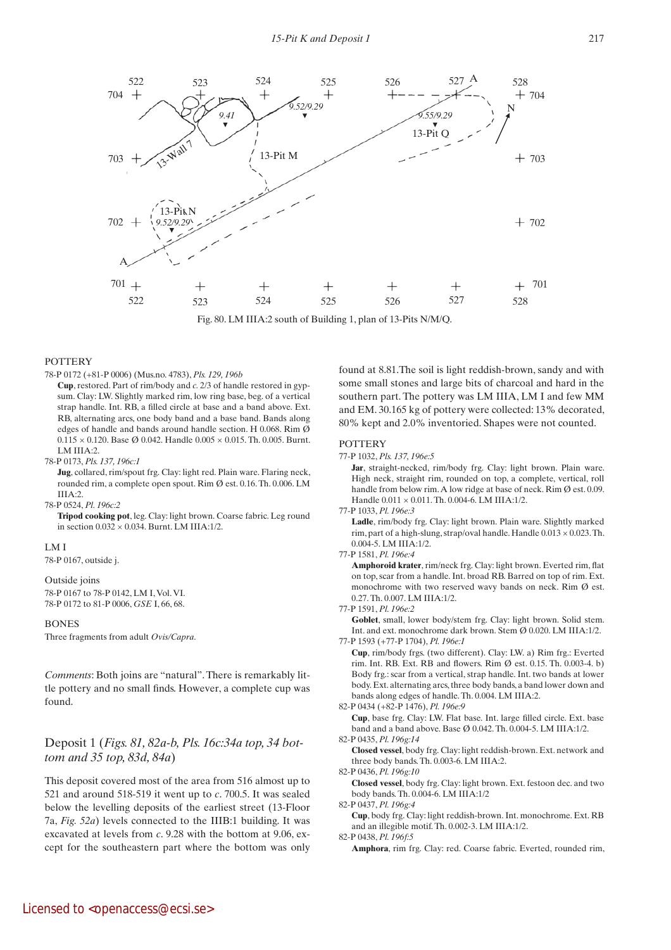

Fig. 80. LM IIIA:2 south of Building 1, plan of 13-Pits N/M/Q.

# **POTTERY**

78-P 0172 (+81-P 0006) (Mus.no. 4783), *Pls. 129, 196b*

 **Cup**, restored. Part of rim/body and *c.* 2/3 of handle restored in gypsum. Clay: LW. Slightly marked rim, low ring base, beg. of a vertical strap handle. Int. RB, a filled circle at base and a band above. Ext. RB, alternating arcs, one body band and a base band. Bands along edges of handle and bands around handle section. H 0.068. Rim Ø  $0.115 \times 0.120$ . Base Ø 0.042. Handle  $0.005 \times 0.015$ . Th. 0.005. Burnt. LM IIIA:2.

## 78-P 0173, *Pls. 137, 196c:1*

 **Jug**, collared, rim/spout frg. Clay: light red. Plain ware. Flaring neck, rounded rim, a complete open spout. Rim Ø est. 0.16. Th. 0.006. LM IIIA:2.

#### 78-P 0524, *Pl. 196c:2*

 **Tripod cooking pot**, leg. Clay: light brown. Coarse fabric. Leg round in section 0.032 × 0.034. Burnt. LM IIIA:1/2.

#### LM I

78-P 0167, outside j.

#### Outside joins

78-P 0167 to 78-P 0142, LM I, Vol. VI. 78-P 0172 to 81-P 0006, *GSE* I, 66, 68.

## **BONES**

Three fragments from adult *Ovis/Capra*.

*Comments*: Both joins are "natural". There is remarkably little pottery and no small finds. However, a complete cup was found.

# Deposit 1 (*Figs. 81, 82a-b, Pls. 16c:34a top, 34 bottom and 35 top, 83d, 84a*)

This deposit covered most of the area from 516 almost up to 521 and around 518-519 it went up to *c*. 700.5. It was sealed below the levelling deposits of the earliest street (13-Floor 7a, *Fig. 52a*) levels connected to the IIIB:1 building. It was excavated at levels from *c*. 9.28 with the bottom at 9.06, except for the southeastern part where the bottom was only found at 8.81.The soil is light reddish-brown, sandy and with some small stones and large bits of charcoal and hard in the southern part. The pottery was LM IIIA, LM I and few MM and EM. 30.165 kg of pottery were collected: 13% decorated, 80% kept and 2.0% inventoried. Shapes were not counted.

#### **POTTERY**

77-P 1032, *Pls. 137, 196e:5*

Jar, straight-necked, rim/body frg. Clay: light brown. Plain ware. High neck, straight rim, rounded on top, a complete, vertical, roll handle from below rim. A low ridge at base of neck. Rim Ø est. 0.09. Handle 0.011 × 0.011. Th. 0.004-6. LM IIIA:1/2.

77-P 1033, *Pl. 196e:3*

Ladle, rim/body frg. Clay: light brown. Plain ware. Slightly marked rim, part of a high-slung, strap/oval handle. Handle  $0.013 \times 0.023$ . Th. 0.004-5. LM IIIA:1/2.

77-P 1581, *Pl. 196e:4*

 **Amphoroid krater**, rim/neck frg. Clay: light brown. Everted rim, flat on top, scar from a handle. Int. broad RB. Barred on top of rim. Ext. monochrome with two reserved wavy bands on neck. Rim Ø est. 0.27. Th. 0.007. LM IIIA:1/2.

77-P 1591, *Pl. 196e:2*

Goblet, small, lower body/stem frg. Clay: light brown. Solid stem. Int. and ext. monochrome dark brown. Stem Ø 0.020. LM IIIA:1/2.

77-P 1593 (+77-P 1704), *Pl. 196e:1*

 **Cup**, rim/body frgs. (two different). Clay: LW. a) Rim frg.: Everted rim. Int. RB. Ext. RB and flowers. Rim Ø est. 0.15. Th. 0.003-4. b) Body frg.: scar from a vertical, strap handle. Int. two bands at lower body. Ext. alternating arcs, three body bands, a band lower down and bands along edges of handle. Th. 0.004. LM IIIA:2.

82-P 0434 (+82-P 1476), *Pl. 196e:9*

 **Cup**, base frg. Clay: LW. Flat base. Int. large filled circle. Ext. base band and a band above. Base Ø 0.042. Th. 0.004-5. LM IIIA:1/2.

82-P 0435, *Pl. 196g:14*

 **Closed vessel**, body frg. Clay: light reddish-brown. Ext. network and three body bands. Th. 0.003-6. LM IIIA:2.

82-P 0436, *Pl. 196g:10*

 **Closed vessel**, body frg. Clay: light brown. Ext. festoon dec. and two body bands. Th. 0.004-6. LM IIIA:1/2

82-P 0437, *Pl. 196g:4*

 **Cup**, body frg. Clay: light reddish-brown. Int. monochrome. Ext. RB and an illegible motif. Th. 0.002-3. LM IIIA:1/2. 82-P 0438, *Pl. 196f:5*

 **Amphora**, rim frg. Clay: red. Coarse fabric. Everted, rounded rim,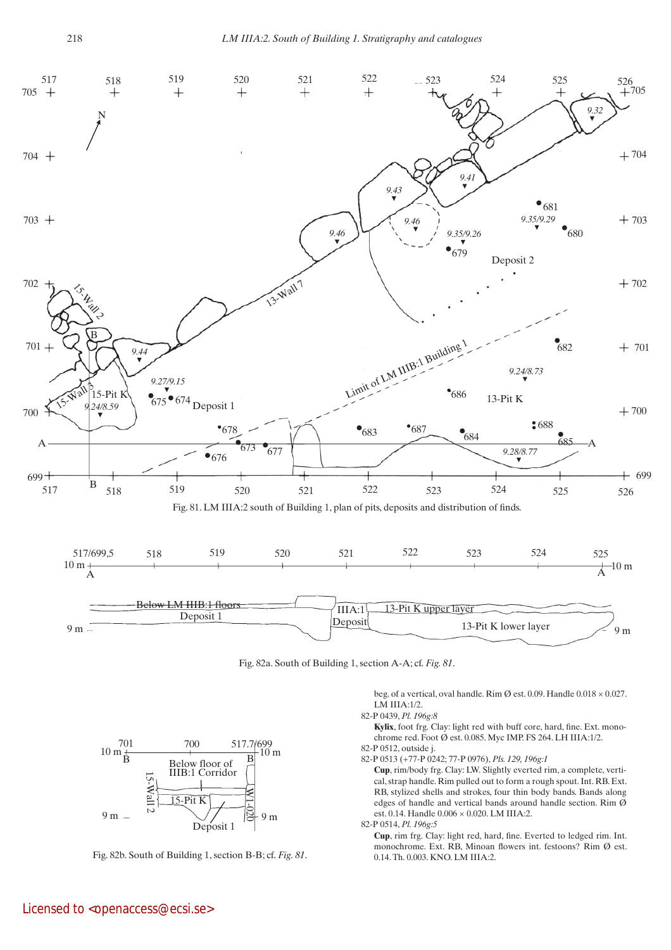

Fig. 82a. South of Building 1, section A-A; cf. *Fig. 81*.

beg. of a vertical, oval handle. Rim Ø est. 0.09. Handle 0.018 × 0.027. LM IIIA:1/2.

# 82-P 0439, *Pl. 196g:8*

 **Kylix**, foot frg. Clay: light red with buff core, hard, fine. Ext. monochrome red. Foot Ø est. 0.085. Myc IMP. FS 264. LH IIIA:1/2. 82-P 0512, outside j.

82-P 0513 (+77-P 0242; 77-P 0976), *Pls. 129, 196g:1*

 **Cup**, rim/body frg. Clay: LW. Slightly everted rim, a complete, vertical, strap handle. Rim pulled out to form a rough spout. Int. RB. Ext. RB, stylized shells and strokes, four thin body bands. Bands along edges of handle and vertical bands around handle section. Rim Ø est. 0.14. Handle 0.006 × 0.020. LM IIIA:2.

82-P 0514, *Pl. 196g:5*

 **Cup**, rim frg. Clay: light red, hard, fine. Everted to ledged rim. Int. monochrome. Ext. RB, Minoan flowers int. festoons? Rim Ø est. 0.14. Th. 0.003. KNO. LM IIIA:2.



 $15$ -Pit K

 $\mathbf{B}$  Below floor of  $\mathbf{B}$ IIIB:1 Corridor

701 700 517.7/699

Fig. 82b. South of Building 1, section B-B; cf. *Fig. 81*.

10 m

 $10 \frac{701}{B}$ 

15-Wall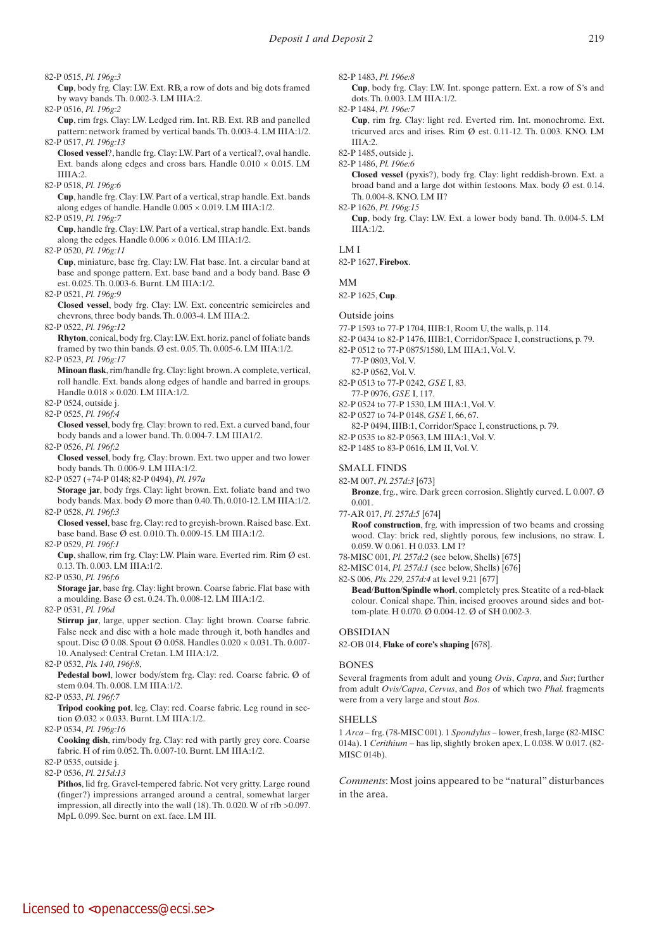82-P 0515, *Pl. 196g:3*

 **Cup**, body frg. Clay: LW. Ext. RB, a row of dots and big dots framed by wavy bands. Th. 0.002-3. LM IIIA:2.

82-P 0516, *Pl. 196g:2*

 **Cup**, rim frgs. Clay: LW. Ledged rim. Int. RB. Ext. RB and panelled pattern: network framed by vertical bands. Th. 0.003-4. LM IIIA:1/2. 82-P 0517, *Pl. 196g:13*

 **Closed vessel**?, handle frg. Clay: LW. Part of a vertical?, oval handle. Ext. bands along edges and cross bars. Handle  $0.010 \times 0.015$ . LM IIIIA:2.

82-P 0518, *Pl. 196g:6*

 **Cup**, handle frg. Clay: LW. Part of a vertical, strap handle. Ext. bands along edges of handle. Handle  $0.005 \times 0.019$ . LM IIIA:1/2.

82-P 0519, *Pl. 196g:7*  **Cup**, handle frg. Clay: LW. Part of a vertical, strap handle. Ext. bands

along the edges. Handle  $0.006 \times 0.016$ . LM IIIA:1/2.

82-P 0520, *Pl. 196g:11*

 **Cup**, miniature, base frg. Clay: LW. Flat base. Int. a circular band at base and sponge pattern. Ext. base band and a body band. Base Ø est. 0.025. Th. 0.003-6. Burnt. LM IIIA:1/2.

82-P 0521, *Pl. 196g:9*

 **Closed vessel**, body frg. Clay: LW. Ext. concentric semicircles and chevrons, three body bands. Th. 0.003-4. LM IIIA:2.

82-P 0522, *Pl. 196g:12*

 **Rhyton**, conical, body frg. Clay: LW. Ext. horiz. panel of foliate bands framed by two thin bands. Ø est. 0.05. Th. 0.005-6. LM IIIA:1/2.

82-P 0523, *Pl. 196g:17*

 **Minoan flask**, rim/handle frg. Clay: light brown. A complete, vertical, roll handle. Ext. bands along edges of handle and barred in groups. Handle 0.018 × 0.020. LM IIIA:1/2.

- 82-P 0524, outside j.
- 82-P 0525, *Pl. 196f:4*

 **Closed vessel**, body frg. Clay: brown to red. Ext. a curved band, four body bands and a lower band. Th. 0.004-7. LM IIIA1/2.

82-P 0526, *Pl. 196f:2*

 **Closed vessel**, body frg. Clay: brown. Ext. two upper and two lower body bands. Th. 0.006-9. LM IIIA:1/2.

82-P 0527 (+74-P 0148; 82-P 0494), *Pl. 197a*

 **Storage jar**, body frgs. Clay: light brown. Ext. foliate band and two body bands. Max. body Ø more than 0.40. Th. 0.010-12. LM IIIA:1/2. 82-P 0528, *Pl. 196f:3*

 **Closed vessel**, base frg. Clay: red to greyish-brown. Raised base. Ext. base band. Base Ø est. 0.010. Th. 0.009-15. LM IIIA:1/2.

82-P 0529, *Pl. 196f:1*

 **Cup**, shallow, rim frg. Clay: LW. Plain ware. Everted rim. Rim Ø est. 0.13. Th. 0.003. LM IIIA:1/2.

82-P 0530, *Pl. 196f:6*

 **Storage jar**, base frg. Clay: light brown. Coarse fabric. Flat base with a moulding. Base Ø est. 0.24. Th. 0.008-12. LM IIIA:1/2.

82-P 0531, *Pl. 196d*

**Stirrup** jar, large, upper section. Clay: light brown. Coarse fabric. False neck and disc with a hole made through it, both handles and spout. Disc Ø 0.08. Spout Ø 0.058. Handles 0.020 × 0.031. Th. 0.007- 10. Analysed: Central Cretan. LM IIIA:1/2.

82-P 0532, *Pls. 140, 196f:8*,

 **Pedestal bowl**, lower body/stem frg. Clay: red. Coarse fabric. Ø of stem 0.04. Th. 0.008. LM IIIA:1/2.

# 82-P 0533, *Pl. 196f:7*

 **Tripod cooking pot**, leg. Clay: red. Coarse fabric. Leg round in section Ø.032 × 0.033. Burnt. LM IIIA:1/2.

82-P 0534, *Pl. 196g:16*

 **Cooking dish**, rim/body frg. Clay: red with partly grey core. Coarse fabric. H of rim 0.052. Th. 0.007-10. Burnt. LM IIIA:1/2.

82-P 0535, outside j.

82-P 0536, *Pl. 215d:13*

 **Pithos**, lid frg. Gravel-tempered fabric. Not very gritty. Large round (finger?) impressions arranged around a central, somewhat larger impression, all directly into the wall (18). Th. 0.020. W of rfb >0.097. MpL 0.099. Sec. burnt on ext. face. LM III.

82-P 1483, *Pl. 196e:8*

 **Cup**, body frg. Clay: LW. Int. sponge pattern. Ext. a row of S's and dots. Th. 0.003. LM IIIA:1/2.

82-P 1484, *Pl. 196e:7*

 **Cup**, rim frg. Clay: light red. Everted rim. Int. monochrome. Ext. tricurved arcs and irises. Rim  $\emptyset$  est. 0.11-12. Th. 0.003. KNO. LM IIIA:2.

- 82-P 1485, outside j.
- 82-P 1486, *Pl. 196e:6*

 **Closed vessel** (pyxis?), body frg. Clay: light reddish-brown. Ext. a broad band and a large dot within festoons. Max. body Ø est. 0.14. Th. 0.004-8. KNO. LM II?

82-P 1626, *Pl. 196g:15*

 **Cup**, body frg. Clay: LW. Ext. a lower body band. Th. 0.004-5. LM  $IIIA:1/2.$ 

## LM I

82-P 1627, **Firebox**.

MM

82-P 1625, **Cup**.

# Outside joins

- 77-P 1593 to 77-P 1704, IIIB:1, Room U, the walls, p. 114.
- 82-P 0434 to 82-P 1476, IIIB:1, Corridor/Space I, constructions, p. 79.
- 82-P 0512 to 77-P 0875/1580, LM IIIA:1, Vol. V.
	- 77-P 0803, Vol. V.
	- 82-P 0562, Vol. V.
- 82-P 0513 to 77-P 0242, *GSE* I, 83. 77-P 0976, *GSE* I, 117.
- 82-P 0524 to 77-P 1530, LM IIIA:1, Vol. V.
- 82-P 0527 to 74-P 0148, *GSE* I, 66, 67.
- 82-P 0494, IIIB:1, Corridor/Space I, constructions, p. 79.
- 82-P 0535 to 82-P 0563, LM IIIA:1, Vol. V.
- 82-P 1485 to 83-P 0616, LM II, Vol. V.

# SMALL FINDS

- 82-M 007, *Pl. 257d:3* [673]
	- **Bronze**, frg., wire. Dark green corrosion. Slightly curved. L 0.007. Ø 0.001.
- 77-AR 017, *Pl. 257d:5* [674]  **Roof construction**, frg. with impression of two beams and crossing wood. Clay: brick red, slightly porous, few inclusions, no straw. L 0.059. W 0.061. H 0.033. LM I?
- 78-MISC 001, *Pl. 257d:2* (see below, Shells) [675]
- 82-MISC 014, *Pl. 257d:1* (see below, Shells) [676]

82-S 006, *Pls. 229, 257d:4* at level 9.21 [677]

 **Bead**/**Button**/**Spindle whorl**, completely pres. Steatite of a red-black colour. Conical shape. Thin, incised grooves around sides and bottom-plate. H 0.070. Ø 0.004-12. Ø of SH 0.002-3.

## OBSIDIAN

82-OB 014, **Flake of core's shaping** [678].

## **BONES**

Several fragments from adult and young *Ovis*, *Capra*, and *Sus*; further from adult *Ovis/Capra*, *Cervus*, and *Bos* of which two *Phal.* fragments were from a very large and stout *Bos*.

## SHELLS

1 *Arca* – frg. (78-MISC 001). 1 *Spondylus* – lower, fresh, large (82-MISC 014a). 1 *Cerithium* – has lip, slightly broken apex, L 0.038. W 0.017. (82- MISC 014b).

*Comments*: Most joins appeared to be "natural" disturbances in the area.